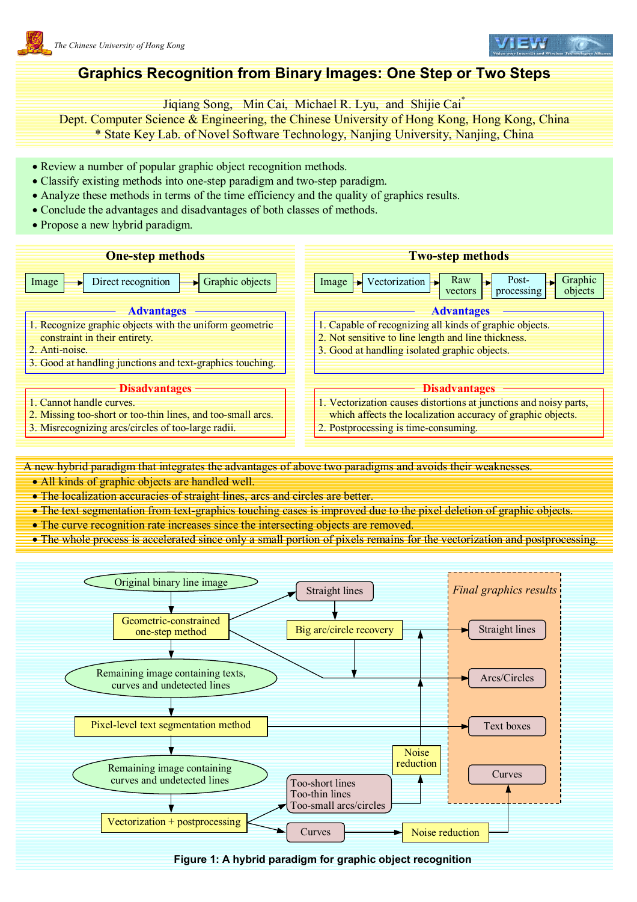

## **Graphics Recognition from Binary Images: One Step or Two Steps**

Jiqiang Song, Min Cai, Michael R. Lyu, and Shijie Cai\*

Dept. Computer Science & Engineering, the Chinese University of Hong Kong, Hong Kong, China \* State Key Lab. of Novel Software Technology, Nanjing University, Nanjing, China

- Review a number of popular graphic object recognition methods.
- Classify existing methods into one-step paradigm and two-step paradigm.
- Analyze these methods in terms of the time efficiency and the quality of graphics results.
- Conclude the advantages and disadvantages of both classes of methods.
- Propose a new hybrid paradigm.



A new hybrid paradigm that integrates the advantages of above two paradigms and avoids their weaknesses.

- All kinds of graphic objects are handled well.
- The localization accuracies of straight lines, arcs and circles are better.
- The text segmentation from text-graphics touching cases is improved due to the pixel deletion of graphic objects.
- The curve recognition rate increases since the intersecting objects are removed.
- The whole process is accelerated since only a small portion of pixels remains for the vectorization and postprocessing.



**Figure 1: A hybrid paradigm for graphic object recognition**